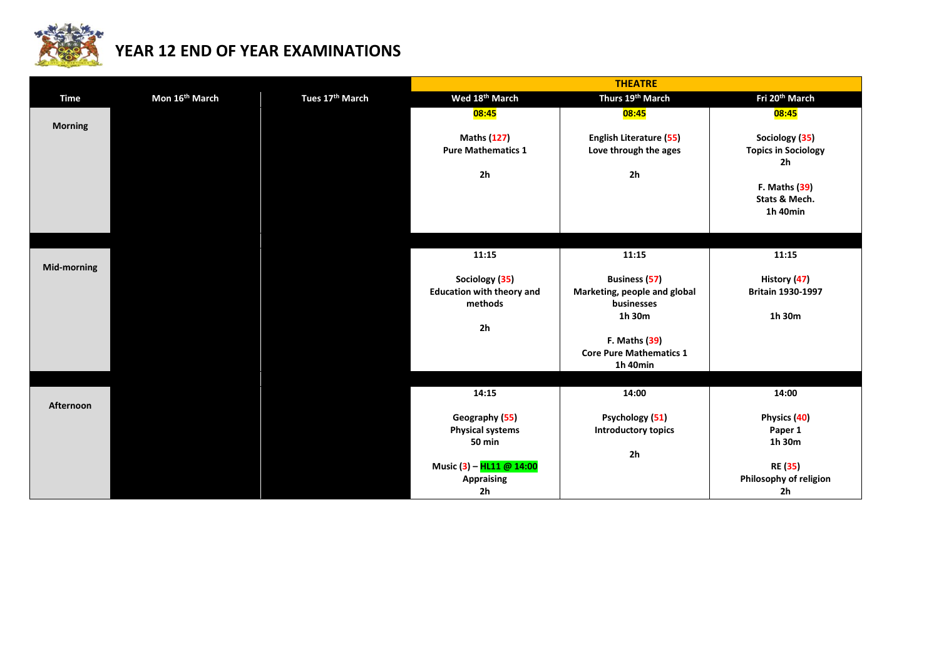

|                |                |                 | <b>THEATRE</b>                   |                                            |                                              |
|----------------|----------------|-----------------|----------------------------------|--------------------------------------------|----------------------------------------------|
| Time           | Mon 16th March | Tues 17th March | Wed 18th March                   | Thurs 19th March                           | Fri 20 <sup>th</sup> March                   |
|                |                |                 | 08:45                            | 08:45                                      | 08:45                                        |
| <b>Morning</b> |                |                 |                                  |                                            |                                              |
|                |                |                 | <b>Maths (127)</b>               | <b>English Literature (55)</b>             | Sociology (35)                               |
|                |                |                 | <b>Pure Mathematics 1</b>        | Love through the ages                      | <b>Topics in Sociology</b><br>2 <sub>h</sub> |
|                |                |                 | 2 <sub>h</sub>                   | 2 <sub>h</sub>                             |                                              |
|                |                |                 |                                  |                                            | <b>F. Maths (39)</b>                         |
|                |                |                 |                                  |                                            | Stats & Mech.                                |
|                |                |                 |                                  |                                            | 1h 40min                                     |
|                |                |                 |                                  |                                            |                                              |
|                |                |                 |                                  |                                            |                                              |
|                |                |                 | 11:15                            | 11:15                                      | 11:15                                        |
| Mid-morning    |                |                 | Sociology (35)                   | <b>Business (57)</b>                       | History (47)                                 |
|                |                |                 | <b>Education with theory and</b> |                                            | <b>Britain 1930-1997</b>                     |
|                |                |                 | methods                          | Marketing, people and global<br>businesses |                                              |
|                |                |                 |                                  | 1h 30m                                     | 1h 30m                                       |
|                |                |                 | 2 <sub>h</sub>                   |                                            |                                              |
|                |                |                 |                                  | <b>F. Maths (39)</b>                       |                                              |
|                |                |                 |                                  | <b>Core Pure Mathematics 1</b>             |                                              |
|                |                |                 |                                  | 1h 40min                                   |                                              |
|                |                |                 |                                  |                                            |                                              |
|                |                |                 | 14:15                            | 14:00                                      | 14:00                                        |
| Afternoon      |                |                 |                                  |                                            |                                              |
|                |                |                 | Geography (55)                   | Psychology (51)                            | Physics (40)                                 |
|                |                |                 | <b>Physical systems</b>          | <b>Introductory topics</b>                 | Paper 1                                      |
|                |                |                 | <b>50 min</b>                    |                                            | 1h 30m                                       |
|                |                |                 |                                  | 2 <sub>h</sub>                             |                                              |
|                |                |                 | Music (3) - HL11 @ 14:00         |                                            | <b>RE</b> (35)                               |
|                |                |                 | <b>Appraising</b>                |                                            | Philosophy of religion                       |
|                |                |                 | 2 <sub>h</sub>                   |                                            | 2 <sub>h</sub>                               |